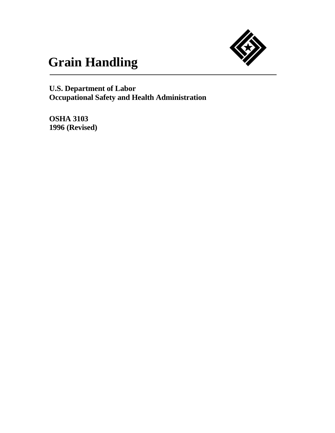

# **Grain Handling**

**U.S. Department of Labor Occupational Safety and Health Administration**

**OSHA 3103 1996 (Revised)**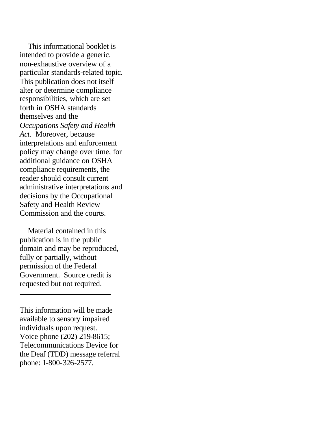This informational booklet is intended to provide a generic, non-exhaustive overview of a particular standards-related topic. This publication does not itself alter or determine compliance responsibilities, which are set forth in OSHA standards themselves and the *Occupations Safety and Health Act*. Moreover, because interpretations and enforcement policy may change over time, for additional guidance on OSHA compliance requirements, the reader should consult current administrative interpretations and decisions by the Occupational Safety and Health Review Commission and the courts.

 Material contained in this publication is in the public domain and may be reproduced, fully or partially, without permission of the Federal Government. Source credit is requested but not required.

This information will be made available to sensory impaired individuals upon request. Voice phone (202) 219-8615; Telecommunications Device for the Deaf (TDD) message referral phone: 1-800-326-2577.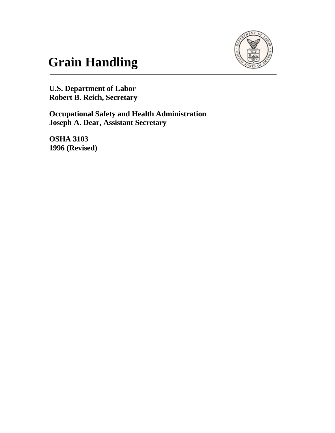

# **Grain Handling**

**U.S. Department of Labor Robert B. Reich, Secretary**

**Occupational Safety and Health Administration Joseph A. Dear, Assistant Secretary**

**OSHA 3103 1996 (Revised)**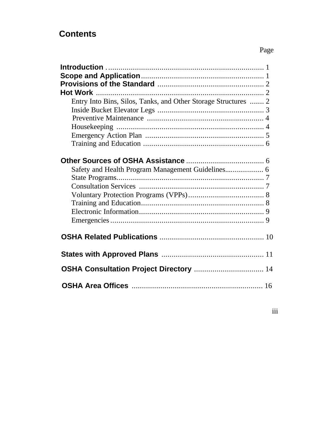## **Contents**

| Entry Into Bins, Silos, Tanks, and Other Storage Structures  2 |  |
|----------------------------------------------------------------|--|
| Safety and Health Program Management Guidelines 6              |  |
|                                                                |  |
|                                                                |  |
| OSHA Consultation Project Directory  14                        |  |
|                                                                |  |

### Page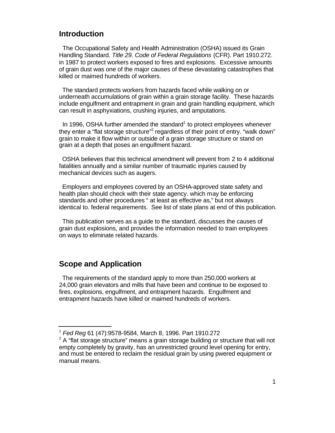#### **Introduction**

 The Occupational Safety and Health Administration (OSHA) issued its Grain Handling Standard. *Title 29. Code of Federal Regulations* (CFR). Part 1910.272. in 1987 to protect workers exposed to fires and explosions. Excessive amounts of grain dust was one of the major causes of these devastating catastrophes that killed or maimed hundreds of workers.

 The standard protects workers from hazards faced while walking on or underneath accumulations of grain within a grain storage facility. These hazards include engulfment and entrapment in grain and grain handling equipment, which can result in asphyxiations, crushing injuries, and amputations.

In 1996, OSHA further amended the standard<sup>1</sup> to protect employees whenever they enter a "flat storage structure"<sup>2</sup> regardless of their point of entry. "walk down" grain to make it flow within or outside of a grain storage structure or stand on grain at a depth that poses an engulfment hazard.

 OSHA believes that this technical amendment will prevent from 2 to 4 additional fatalities annually and a similar number of traumatic injuries caused by mechanical devices such as augers.

 Employers and employees covered by an OSHA-approved state safety and health plan should check with their state agency. which may be enforcing standards and other procedures " at least as effective as," but not always identical to. federal requirements. See list of state plans at end of this publication.

 This publication serves as a guide to the standard, discusses the causes of grain dust explosions, and provides the information needed to train employees on ways to eliminate related hazards.

### **Scope and Application**

 The requirements of the standard apply to more than 250,000 workers at 24,000 grain elevators and mills that have been and continue to be exposed to fires, explosions, engulfment, and entrapment hazards. Engulfment and entrapment hazards have killed or maimed hundreds of workers.

<sup>1</sup> *Fed Reg* 61 (47):9578-9584, March 8, 1996. Part 1910.272

 $2^2$  A "flat storage structure" means a grain storage building or structure that will not empty completely by gravity, has an unrestricted ground level opening for entry, and must be entered to reclaim the residual grain by using pwered equipment or manual means.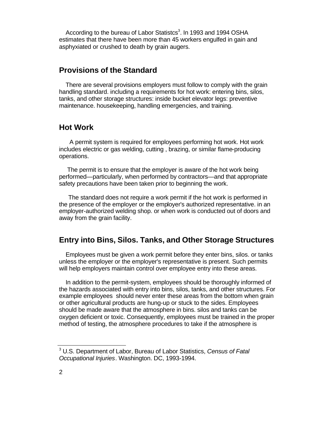According to the bureau of Labor Statistcs<sup>3</sup>. In 1993 and 1994 OSHA estimates that there have been more than 45 workers engulfed in gain and asphyxiated or crushed to death by grain augers.

### **Provisions of the Standard**

There are several provisions employers must follow to comply with the grain handling standard. including a requirements for hot work: entering bins, silos, tanks, and other storage structures: inside bucket elevator legs: preventive maintenance. housekeeping, handling emergencies, and training.

### **Hot Work**

A permit system is required for employees performing hot work. Hot work includes electric or gas welding, cutting , brazing, or similar flame-producing operations.

The permit is to ensure that the employer is aware of the hot work being performed—particularly, when performed by contractors—and that appropriate safety precautions have been taken prior to beginning the work.

The standard does not require a work permit if the hot work is performed in the presence of the employer or the employer's authorized representative. in an employer-authorized welding shop. or when work is conducted out of doors and away from the grain facility.

#### **Entry into Bins, Silos. Tanks, and Other Storage Structures**

Employees must be given a work permit before they enter bins, silos. or tanks unless the employer or the employer's representative is present. Such permits will help employers maintain control over employee entry into these areas.

In addition to the permit-system, employees should be thoroughly informed of the hazards associated with entry into bins, silos, tanks, and other structures. For example employees should never enter these areas from the bottom when grain or other agricultural products are hung-up or stuck to the sides. Employees should be made aware that the atmosphere in bins. silos and tanks can be oxygen deficient or toxic. Consequently, employees must be trained in the proper method of testing, the atmosphere procedures to take if the atmosphere is

<sup>3</sup> U.S. Department of Labor, Bureau of Labor Statistics, *Census of Fatal Occupational Injuries*. Washington. DC, 1993-1994.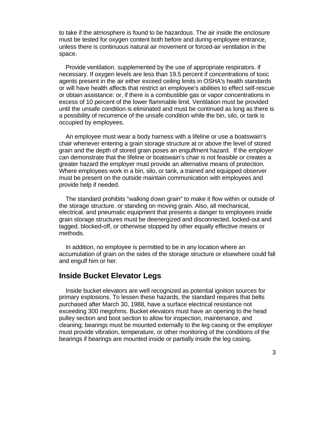to take if the atmosphere is found to be hazardous. The air inside the enclosure must be tested for oxygen content both before and during employee entrance, unless there is continuous natural air movement or forced-air ventilation in the space.

Provide ventilation. supplemented by the use of appropriate respirators. if necessary. If oxygen levels are less than 19.5 percent if concentrations of toxic agents present in the air either exceed ceiling limits in OSHA's health standards or will have health affects that restrict an employee's abilities to effect self-rescue or obtain assistance: or, if there is a combustible gas or vapor concentrations in excess of 10 percent of the lower flammable limit. Ventilation must be provided until the unsafe condition is eliminated and must be continued as long as there is a possibility of recurrence of the unsafe condition while the bin, silo, or tank is occupied by employees.

An employee must wear a body harness with a lifeline or use a boatswain's chair whenever entering a grain storage structure at or above the level of stored grain and the depth of stored grain poses an engulfment hazard. If the employer can demonstrate that the lifeline or boatswain's chair is not feasible or creates a greater hazard the employer must provide an alternative means of protection. Where employees work in a bin, silo, or tank, a trained and equipped observer must be present on the outside maintain communication with employees and provide help if needed.

The standard prohibits "walking down grain" to make it flow within or outside of the storage structure. or standing on moving grain. Also, all mechanical, electrical. and pneumatic equipment that presents a danger to employees inside grain storage structures must be deenergized and disconnected, locked-out and tagged, blocked-off, or otherwise stopped by other equally effective means or methods.

In addition, no employee is permitted to be in any location where an accumulation of grain on the sides of the storage structure or elsewhere could fall and engulf him or her.

#### **Inside Bucket Elevator Legs**

Inside bucket elevators are well recognized as potential ignition sources for primary explosions. To lessen these hazards, the standard requires that belts purchased after March 30, 1988, have a surface electrical resistance not exceeding 300 megohms. Bucket elevators must have an opening to the head pulley section and boot section to allow for inspection, maintenance, and cleaning; bearings must be mounted externally to the leg casing or the employer must provide vibration, temperature, or other monitoring of the conditions of the bearings if bearings are mounted inside or partially inside the leg casing.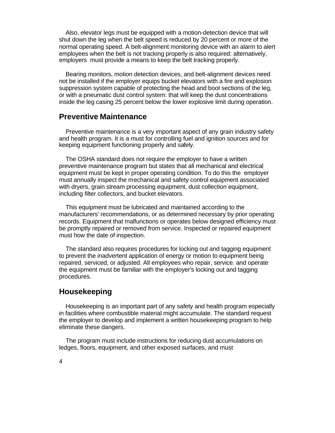Also, elevator legs must be equipped with a motion-detection device that will shut down the leg when the belt speed is reduced by 20 percent or more of the normal operating speed. A belt-alignment monitoring device with an alarm to alert employees when the belt is not tracking properly is also required: alternatively, employers must provide a means to keep the belt tracking properly.

Bearing monitors, motion detection devices, and belt-alignment devices need not be installed if the employer equips bucket elevators with a fire and explosion suppression system capable of protecting the head and boot sections of the leg, or with a pneumatic dust control system: that will keep the dust concentrations inside the leg casing 25 percent below the lower explosive limit during operation.

#### **Preventive Maintenance**

Preventive maintenance is a very important aspect of any grain industry safety and health program. It is a must for controlling fuel and ignition sources and for keeping equipment functioning properly and safely.

The OSHA standard does not require the employer to have a written preventive maintenance program but states that all mechanical and electrical equipment must be kept in proper operating condition. To do this the employer must annually inspect the mechanical and safety control equipment associated with dryers, grain stream processing equipment, dust collection equipment, including filter collectors, and bucket elevators.

This equipment must be lubricated and maintained according to the manufacturers' recommendations, or as determined necessary by prior operating records. Equipment that malfunctions or operates below designed efficiency must be promptly repaired or removed from service. Inspected or repaired equipment must how the date of inspection.

The standard also requires procedures for locking out and tagging equipment to prevent the inadvertent application of energy or motion to equipment being repaired. serviced, or adjusted. All employees who repair, service. and operate the equipment must be familiar with the employer's locking out and tagging procedures.

#### **Housekeeping**

Housekeeping is an important part of any safety and health program especially in facilities where combustible material might accumulate. The standard request the employer to develop and implement a written housekeeping program to help eliminate these dangers.

The program must include instructions for reducing dust accumulations on ledges, floors, equipment, and other exposed surfaces, and must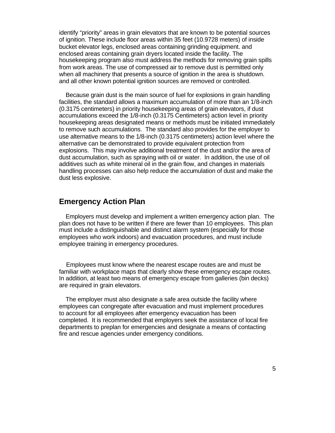identify "priority" areas in grain elevators that are known to be potential sources of ignition. These include floor areas within 35 feet (10.9728 meters) of inside bucket elevator legs, enclosed areas containing grinding equipment. and enclosed areas containing grain dryers located inside the facility. The housekeeping program also must address the methods for removing grain spills from work areas. The use of compressed air to remove dust is permitted only when all machinery that presents a source of ignition in the area is shutdown. and all other known potential ignition sources are removed or controlled.

Because grain dust is the main source of fuel for explosions in grain handling facilities, the standard allows a maximum accumulation of more than an 1/8-inch (0.3175 centimeters) in priority housekeeping areas of grain elevators, if dust accumulations exceed the 1/8-inch (0.3175 Centimeters) action level in priority housekeeping areas designated means or methods must be initiated immediately to remove such accumulations. The standard also provides for the employer to use alternative means to the 1/8-inch (0.3175 centimeters) action level where the alternative can be demonstrated to provide equivalent protection from explosions. This may involve additional treatment of the dust and/or the area of dust accumulation, such as spraying with oil or water. In addition, the use of oil additives such as white mineral oil in the grain flow, and changes in materials handling processes can also help reduce the accumulation of dust and make the dust less explosive.

#### **Emergency Action Plan**

Employers must develop and implement a written emergency action plan. The plan does not have to be written if there are fewer than 10 employees. This plan must include a distinguishable and distinct alarm system (especially for those employees who work indoors) and evacuation procedures, and must include employee training in emergency procedures.

Employees must know where the nearest escape routes are and must be familiar with workplace maps that clearly show these emergency escape routes. In addition, at least two means of emergency escape from galleries (bin decks) are required in grain elevators.

The employer must also designate a safe area outside the facility where employees can congregate after evacuation and must implement procedures to account for all employees after emergency evacuation has been completed. It is recommended that employers seek the assistance of local fire departments to preplan for emergencies and designate a means of contacting fire and rescue agencies under emergency conditions.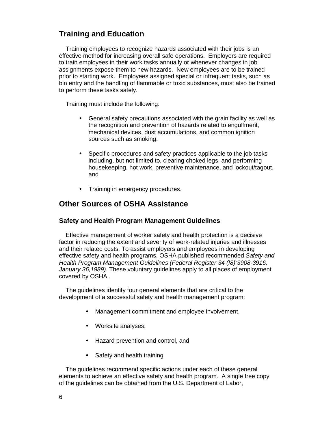### **Training and Education**

Training employees to recognize hazards associated with their jobs is an effective method for increasing overall safe operations. Employers are required to train employees in their work tasks annually or whenever changes in job assignments expose them to new hazards. New employees are to be trained prior to starting work. Employees assigned special or infrequent tasks, such as bin entry and the handling of flammable or toxic substances, must also be trained to perform these tasks safely.

Training must include the following:

- General safety precautions associated with the grain facility as well as the recognition and prevention of hazards related to engulfment, mechanical devices, dust accumulations, and common ignition sources such as smoking.
- Specific procedures and safety practices applicable to the job tasks including, but not limited to, clearing choked legs, and performing housekeeping, hot work, preventive maintenance, and lockout/tagout. and
- Training in emergency procedures.

#### **Other Sources of OSHA Assistance**

#### **Safety and Health Program Management Guidelines**

Effective management of worker safety and health protection is a decisive factor in reducing the extent and severity of work-related injuries and illnesses and their related costs. To assist employers and employees in developing effective safety and health programs, OSHA published recommended Safety and Health Program Management Guidelines (Federal Register 34 (I8):3908-3916, January 36,1989). These voluntary guidelines apply to all places of employment covered by OSHA..

The guidelines identify four general elements that are critical to the development of a successful safety and health management program:

- Management commitment and employee involvement,
- Worksite analyses,
- Hazard prevention and control, and
- Safety and health training

The guidelines recommend specific actions under each of these general elements to achieve an effective safety and health program. A single free copy of the guidelines can be obtained from the U.S. Department of Labor,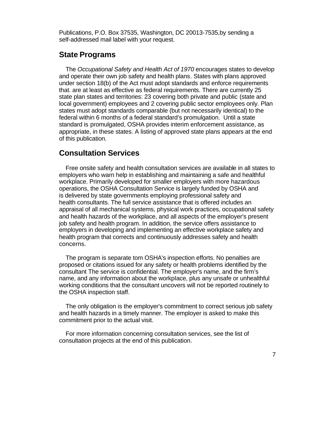Publications, P.O. Box 37535, Washington, DC 20013-7535,by sending a self-addressed mail label with your request.

#### **State Programs**

The *Occupational Safety and Health Act of 1970* encourages states to develop and operate their own job safety and health plans. States with plans approved under section 18(b) of the Act must adopt standards and enforce requirements that. are at least as effective as federal requirements. There are currently 25 state plan states and territories: 23 covering both private and public (state and local government) employees and 2 covering public sector employees only. Plan states must adopt standards comparable (but not necessarily identical) to the federal within 6 months of a federal standard's promulgation. Until a state standard is promulgated, OSHA provides interim enforcement assistance, as appropriate, in these states. A listing of approved state plans appears at the end of this publication.

#### **Consultation Services**

Free onsite safety and health consultation services are available in all states to employers who warn help in establishing and maintaining a safe and healthful workplace. Primarily developed for smaller employers with more hazardous operations, the OSHA Consultation Service is largely funded by OSHA and is delivered by state governments employing professional safety and health consultants. The full service assistance that is offered includes an appraisal of all mechanical systems, physical work practices, occupational safety and health hazards of the workplace, and all aspects of the employer's present job safety and health program. In addition, the service offers assistance to employers in developing and implementing an effective workplace safety and health program that corrects and continuously addresses safety and health concerns.

The program is separate tom OSHA's inspection efforts. No penalties are proposed or citations issued for any safety or health problems identified by the consultant The service is confidential. The employer's name, and the firm's name, and any information about the workpIace, plus any unsafe or unhealthful working conditions that the consultant uncovers will not be reported routinely to the OSHA inspection staff.

The only obligation is the employer's commitment to correct serious job safety and health hazards in a timely manner. The employer is asked to make this commitment prior to the actual visit.

For more information concerning consultation services, see the list of consultation projects at the end of this publication.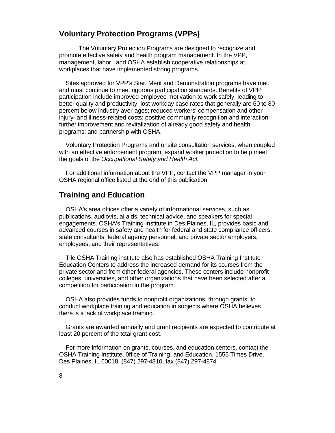#### **Voluntary Protection Programs (VPPs)**

The Voluntary Protection Programs are designed to recognize and promote effective safety and health program management. In the VPP, management, labor, and OSHA establish cooperative relationships at workplaces that have implemented strong programs.

Sites approved for VPP's Star, Merit and Demonstration programs have met. and must continue to meet rigorous participation standards. Benefits of VPP participation include improved employee motivation to work safely, leading to better quality and productivity: lost workday case rates that generally are 60 to 80 percent below industry aver-ages; reduced workers' compensation and other injury- and illness-related costs: positive community recognition and interaction: further improvement and revitalization of already good safety and health programs; and partnership with OSHA.

Voluntary Protection Programs and onsite consultation services, when coupled with an effective enforcement program. expand worker protection to help meet the goals of the *Occupational Safety and Health Act*.

For additional information about the VPP, contact the VPP manager in your OSHA regional office listed at the end of this publication.

#### **Training and Education**

OSHA's area offices offer a variety of informational services, such as publications, audiovisual aids, technical advice, and speakers for special engagements. OSHA's Training Institute in Des Plaines, IL, provides basic and advanced courses in safety and health for federal and state compliance officers, state consultants, federal agency personnel, and private sector employers, employees, and their representatives.

Tile OSHA Training institute also has established OSHA Training Institute Education Centers to address the increased demand for its courses from the private sector and from other federal agencies. These centers include nonprofit colleges, universities, and other organizations that have been selected after a competition for participation in the program.

OSHA also provides funds to nonprofit organizations, through grants, to conduct workplace training and education in subjects where OSHA believes there is a lack of workplace training.

Grants are awarded annually and grant recipients are expected to contribute at least 20 percent of the total grant cost.

For more information on grants, courses, and education centers, contact the OSHA Training Institute, 0ffice of Training, and Education, 1555 Times Drive. Des Plaines, IL 60018, (847) 297-4810, fax (847) 297-4874.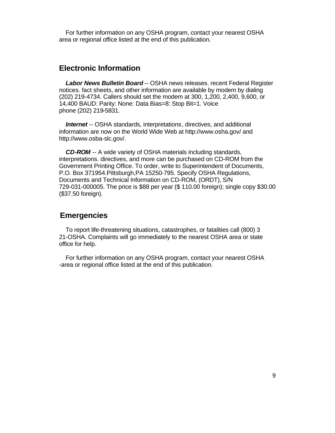For further information on any OSHA program, contact your nearest OSHA area or regional office listed at the end of this publication.

#### **Electronic Information**

Labor News Bulletin Board -- OSHA news releases. recent Federal Register notices. fact sheets, and other information are available by modem by dialing (202) 219-4734. Callers should set the modem at 300, 1,200, 2,400, 9,600, or 14,400 BAUD: Parity: None: Data Bias=8: Stop Bit=1. Voice phone (202) 219-5831.

*Internet* -- OSHA standards, interpretations, directives, and additional information are now on the World Wide Web at http://www.osha.gov/ and http://www.osba-slc.gov/.

*CD-ROM* -- A wide variety of OSHA materials including standards, interpretations. directives, and more can be purchased on CD-ROM from the Government Printing Office. To order, write to Superintendent of Documents, P.O. Box 371954.Pittsburgh,PA 15250-795. Specify OSHA Regulations, Documents and Technical Information on CD-ROM, (ORDT), S/N 729-031-000005. The price is \$88 per year (\$ 110.00 foreign); single copy \$30.00 (\$37.50 foreign).

#### **Emergencies**

To report life-threatening situations, catastrophes, or fatalities call (800) 3 21-OSHA. Complaints will go immediately to the nearest OSHA area or state office for help.

For further information on any OSHA program, contact your nearest OSHA -area or regional office listed at the end of this publication.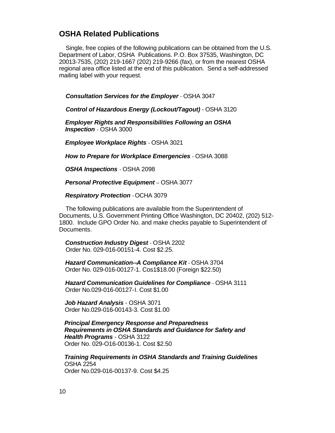#### **OSHA Related Publications**

Single, free copies of the following publications can be obtained from the U.S. Department of Labor, OSHA Publications. P.O. Box 37535, Washington, DC 20013-7535, (202) 219-1667 (202) 219-9266 (fax), or from the nearest OSHA regional area office listed at the end of this publication. Send a self-addressed mailing label with your request.

*Consultation Services for the Employer -* OSHA 3047

*Control of Hazardous Energy (Lockout/Tagout)* - OSHA 3120

*Employer Rights and Responsibilities Following an OSHA Inspection -* OSHA 3000

*Employee Workplace Rights -* OSHA 3021

*How to Prepare for Workplace Emergencies -* OSHA 3088

*OSHA Inspections -* OSHA 2098

*Personal Protective Equipment* – OSHA 3077

*Respiratory Protection -* OCHA 3079

The following publications are available from the Superintendent of Documents, U.S. Government Printing Office Washington, DC 20402, (202) 512- 1800. Include GPO Order No. and make checks payable to Superintendent of Documents.

*Construction Industry Digest -* OSHA 2202 Order No. 029-016-00151-4. Cost \$2.25.

*Hazard Communication--A Compliance Kit* - OSHA 3704 Order No. 029-016-00127-1. Cos1\$18.00 (Foreign \$22.50)

*Hazard Communication Guidelines for Compliance -* OSHA 3111 Order No.029-016-00127-I. Cost \$1.00

*Job Hazard Analysis -* OSHA 3071 Order No.029-016-00143-3. Cost \$1.00

*Principal Emergency Response and Preparedness Requirements in OSHA Standards and Guidance for Safety and Health Programs* - OSHA 3122 Order No. 029-O16-00136-1. Cost \$2.50

*Training Requirements in OSHA Standards and Training Guidelines* OSHA 2254 Order No.029-016-00137-9. Cost \$4.25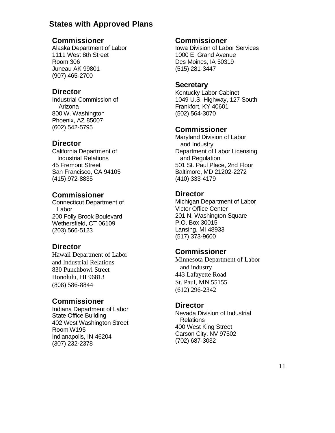### **States with Approved Plans**

#### **Commissioner**

Alaska Department of Labor 1111 West 8th Street Room 306 Juneau AK 99801 (907) 465-2700

#### **Director**

Industrial Commission of Arizona 800 W. Washington Phoenix, AZ 85007 (602) 542-5795

#### **Director**

California Department of Industrial Relations 45 Fremont Street San Francisco, CA 94105 (415) 972-8835

#### **Commissioner**

Connecticut Department of Labor 200 Folly Brook Boulevard Wethersfield, CT 06109 (203) 566-5123

#### **Director**

Hawaii Department of Labor and Industrial Relations 830 Punchbowl Street Honolulu, HI 96813 (808) 586-8844

#### **Commissioner**

Indiana Department of Labor State Office Building 402 West Washington Street Room W195 Indianapolis, IN 46204 (307) 232-2378

### **Commissioner**

Iowa Division of Labor Services 1000 E. Grand Avenue Des Moines, IA 50319 (515) 281-3447

#### **Secretary**

Kentucky Labor Cabinet 1049 U.S. Highway, 127 South Frankfort, KY 40601 (502) 564-3070

#### **Commissioner**

Maryland Division of Labor and Industry Department of Labor Licensing and Regulation 501 St. Paul Place, 2nd Floor Baltimore, MD 21202-2272 (410) 333-4179

#### **Director**

Michigan Department of Labor Victor Office Center 201 N. Washington Square P.O. Box 30015 Lansing, MI 48933 (517) 373-9600

#### **Commissioner**

Minnesota Department of Labor and industry 443 Lafayette Road St. Paul, MN 55155 (612) 296-2342

#### **Director**

Nevada Division of Industrial Relations 400 West King Street Carson City, NV 97502 (702) 687-3032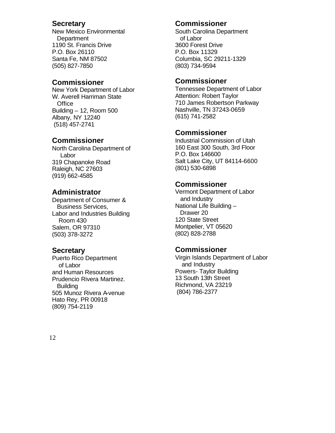#### **Secretary**

New Mexico Environmental **Department** 1190 St. Francis Drive P.O. Box 26110 Santa Fe, NM 87502 (505) 827-7850

#### **Commissioner**

New York Department of Labor W. Averell Harriman State **Office** Building – 12, Room 500 Albany, NY 12240 (518) 457-2741

#### **Commissioner**

North Carolina Department of Labor 319 Chapanoke Road Raleigh, NC 27603 (919) 662-4585

#### **Administrator**

Department of Consumer & Business Services, Labor and Industries Building Room 430 Salem, OR 97310 (503) 378-3272

#### **Secretary**

Puerto Rico Department of Labor and Human Resources Prudencio Rivera Martinez. **Building** 505 Munoz Rivera A-venue Hato Rey, PR 00918 (809) 754-2119

#### **Commissioner**

South Carolina Department of Labor 3600 Forest Drive P.O. Box 11329 Columbia, SC 29211-1329 (803) 734-9594

#### **Commissioner**

Tennessee Department of Labor Attention: Robert Taylor 710 James Robertson Parkway Nashville, TN 37243-0659 (615) 741-2582

### **Commissioner**

Industrial Commission of Utah 160 East 300 South, 3rd Floor P.O. Box 146600 Salt Lake City, UT 84114-6600 (801) 530-6898

### **Commissioner**

Vermont Department of Labor and Industry National Life Building – Drawer 20 120 State Street Montpelier, VT 05620 (802) 828-2788

#### **Commissioner**

Virgin Islands Department of Labor and Industry Powers- Taylor Building 13 South 13th Street Richmond, VA 23219 (804) 786-2377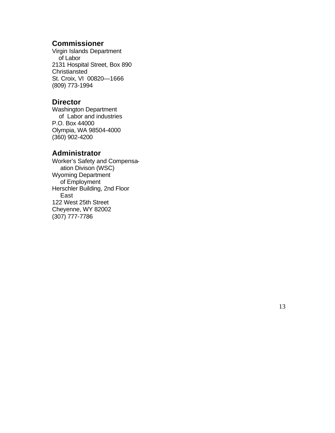#### **Commissioner**

Virgin Islands Department of Labor 2131 Hospital Street, Box 890 **Christiansted** St. Croix, VI 00820 —1666 (809) 773 -1994

#### **Director**

Washington Department of Labor and industries P.O. Box 44000 Olympia, WA 98504 -4000 (360) 902 -4200

#### **Administrator**

Worker's Safety and Compensa ation Divison (WSC) Wyoming Department of Employment Herschler Building, 2nd Floor East 122 West 25th Street Cheyenne, WY 82002 (307) 777 -7786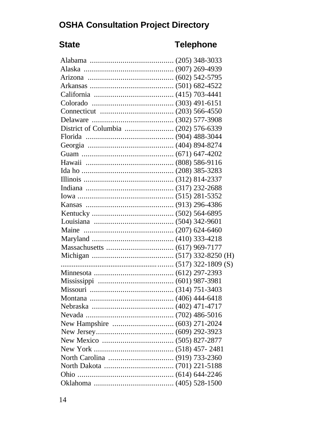# **OSHA Consultation Project Directory**

# State Telephone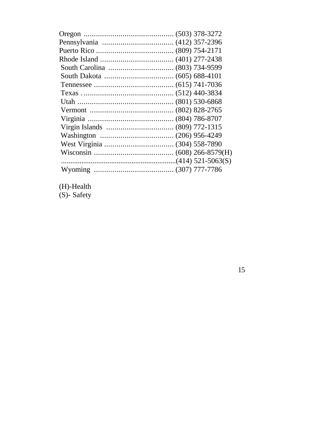(H)-Health (S)- Safety

15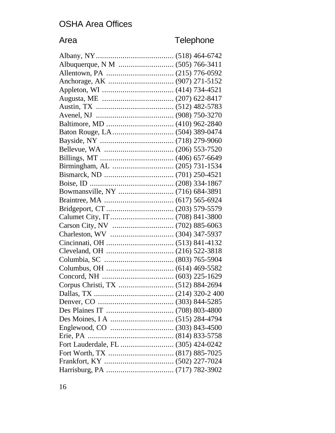## OSHA Area Offices

# Area Telephone